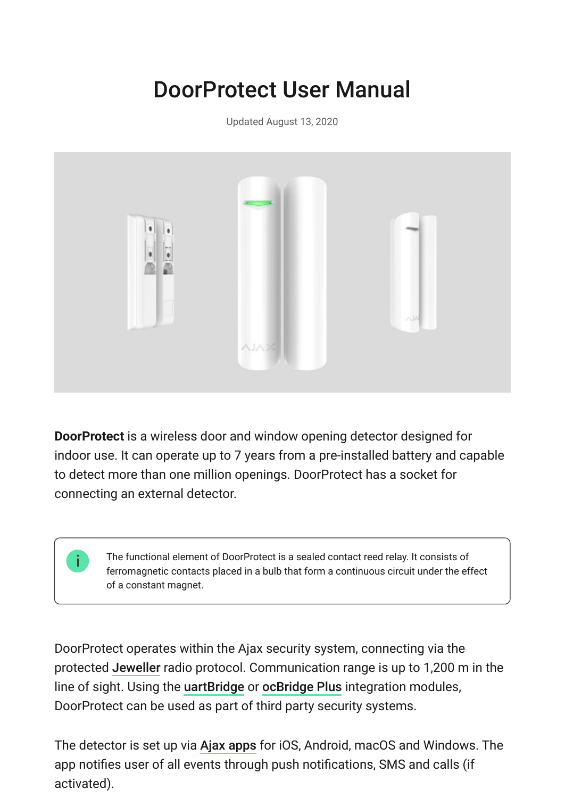# DoorProtect User Manual

Updated August 13, 2020



**DoorProtect** is a wireless door and window opening detector designed for indoor use. It can operate up to 7 years from a pre-installed battery and capable to detect more than one million openings. DoorProtect has a socket for connecting an external detector.

> The functional element of DoorProtect is a sealed contact reed relay. It consists of ferromagnetic contacts placed in a bulb that form a continuous circuit under the effect of a constant magnet.

DoorProtect operates within the Ajax security system, connecting via the protected Jeweller radio protocol. Communication range is up to 1,200 m in the lineof sight. Using the uartBridge or ocBridge Plus integration modules, DoorProtect can be used as part of third party security systems.

The detector is set up via Ajax apps for iOS, Android, macOS and Windows. The app notifies user of all events through push notifications, SMS and calls (if activated).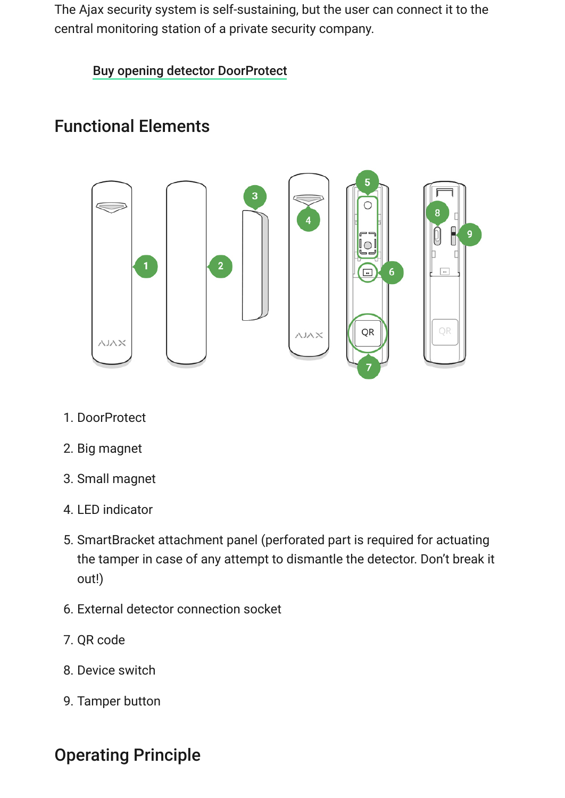The Ajax security system is self-sustaining, but the user can connect it to the central monitoring station of a private security company.

[Buy opening detector DoorProtect](https://ajax.systems/products/doorprotect/)

### Functional Elements



- 1. DoorProtect
- 2. Big magnet
- 3. Small magnet
- 4. LED indicator
- 5. SmartBracket attachment panel (perforated part is required for actuating the tamper in case of any attempt to dismantle the detector. Don't break it out!)
- 6. External detector connection socket
- 7. QR code
- 8. Device switch
- 9. Tamper button

#### Operating Principle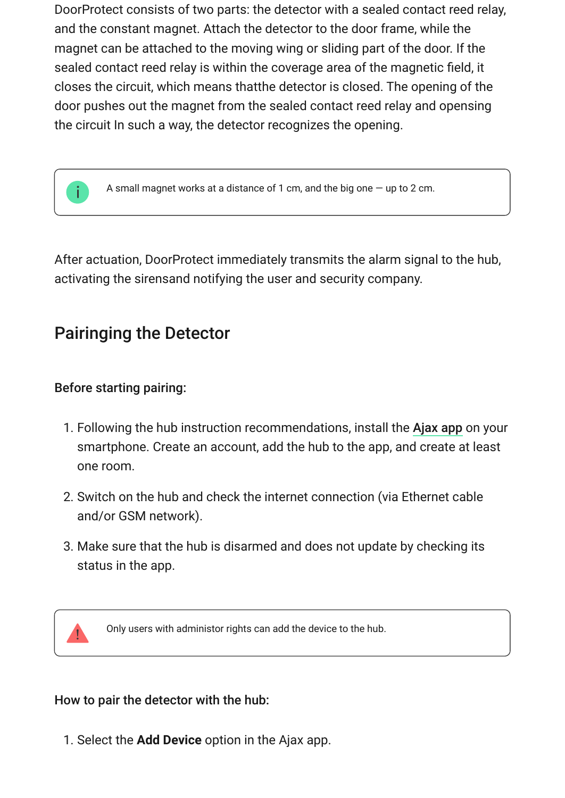DoorProtect consists of two parts: the detector with a sealed contact reed relay, and the constant magnet. Attach the detector to the door frame, while the magnet can be attached to the moving wing or sliding part of the door. If the sealed contact reed relay is within the coverage area of the magnetic field, it closes the circuit, which means thatthe detector is closed. The opening of the door pushes out the magnet from the sealed contact reed relay and opensing the circuit In such a way, the detector recognizes the opening.



A small magnet works at a distance of 1 cm, and the big one — up to 2 cm.

After actuation, DoorProtect immediately transmits the alarm signal to the hub, activating the sirensand notifying the user and security company.

### Pairinging the Detector

#### Before starting pairing:

- 1. Following the hub instruction recommendations, install the Ajax app on your smartphone. Create an account, add the hub to the app, and create at least one room.
- 2. Switch on the hub and check the internet connection (via Ethernet cable and/or GSM network).
- 3. Make sure that the hub is disarmed and does not update by checking its status in the app.

Only users with administor rights can add the device to the hub.

#### How to pair the detector with the hub:

1. Select the **Add Device** option in the Ajax app.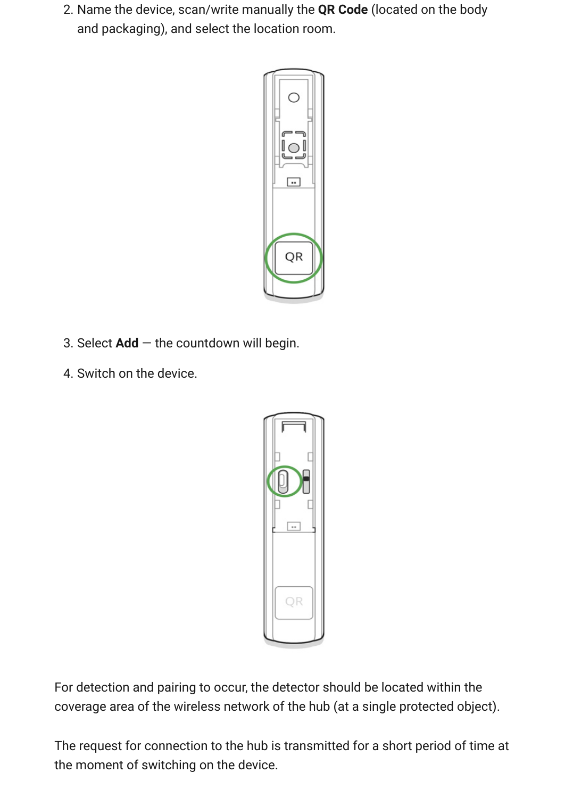2. Name the device, scan/write manually the **QR Code** (located on the body and packaging), and select the location room.



- 3. Select **Add** the countdown will begin.
- 4. Switch on the device.



For detection and pairing to occur, the detector should be located within the coverage area of the wireless network of the hub (at a single protected object).

The request for connection to the hub is transmitted for a short period of time at the moment of switching on the device.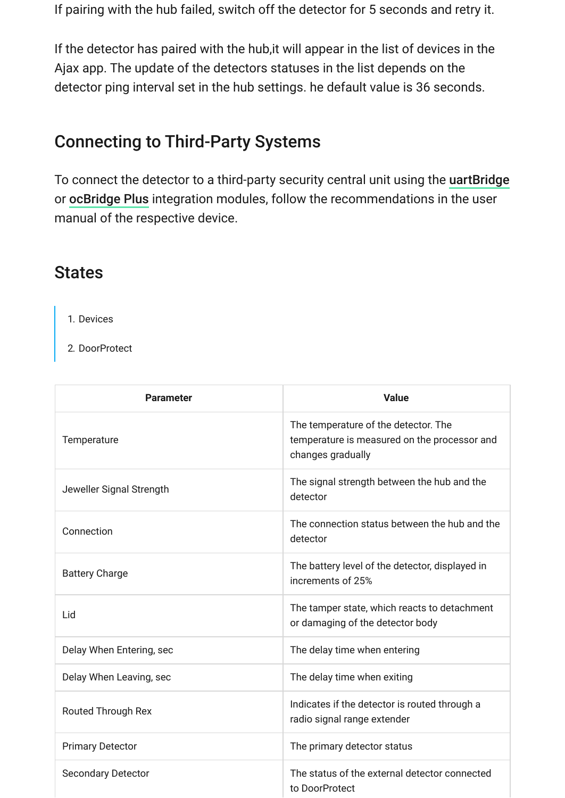If pairing with the hub failed, switch off the detector for 5 seconds and retry it.

If the detector has paired with the hub,it will appear in the list of devices in the Ajax app. The update of the detectors statuses in the list depends on the detector ping interval set in the hub settings. he default value is 36 seconds.

#### Connecting to Third-Party Systems

To connect the detector to a third-party security central unit using the [uartBridge](https://ajax.systems/products/uartbridge/) or ocBridge Plus integration modules, follow the recommendations in the user manual of the respective device.

#### States

- 1. Devices
- 2. DoorProtect

| <b>Parameter</b>          | <b>Value</b>                                                                                              |
|---------------------------|-----------------------------------------------------------------------------------------------------------|
| Temperature               | The temperature of the detector. The<br>temperature is measured on the processor and<br>changes gradually |
| Jeweller Signal Strength  | The signal strength between the hub and the<br>detector                                                   |
| Connection                | The connection status between the hub and the<br>detector                                                 |
| <b>Battery Charge</b>     | The battery level of the detector, displayed in<br>increments of 25%                                      |
| Lid                       | The tamper state, which reacts to detachment<br>or damaging of the detector body                          |
| Delay When Entering, sec  | The delay time when entering                                                                              |
| Delay When Leaving, sec   | The delay time when exiting                                                                               |
| <b>Routed Through Rex</b> | Indicates if the detector is routed through a<br>radio signal range extender                              |
| <b>Primary Detector</b>   | The primary detector status                                                                               |
| <b>Secondary Detector</b> | The status of the external detector connected<br>to DoorProtect                                           |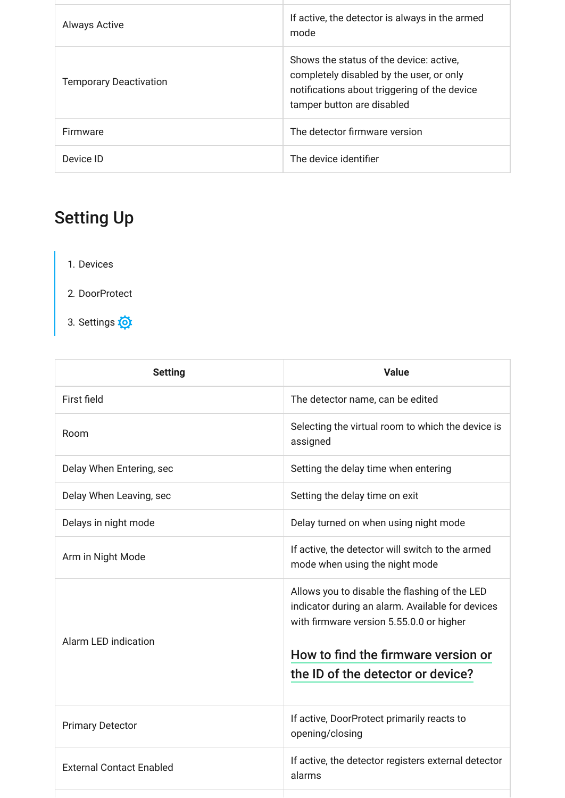| <b>Always Active</b>          | If active, the detector is always in the armed<br>mode                                                                                                            |
|-------------------------------|-------------------------------------------------------------------------------------------------------------------------------------------------------------------|
| <b>Temporary Deactivation</b> | Shows the status of the device: active,<br>completely disabled by the user, or only<br>notifications about triggering of the device<br>tamper button are disabled |
| <b>Firmware</b>               | The detector firmware version                                                                                                                                     |
| Device ID                     | The device identifier                                                                                                                                             |

# Setting Up

- 1. Devices
- 2. DoorProtect
- 3. Settings

| <b>Setting</b>                  | <b>Value</b>                                                                                                                                                                         |
|---------------------------------|--------------------------------------------------------------------------------------------------------------------------------------------------------------------------------------|
| First field                     | The detector name, can be edited                                                                                                                                                     |
| Room                            | Selecting the virtual room to which the device is<br>assigned                                                                                                                        |
| Delay When Entering, sec        | Setting the delay time when entering                                                                                                                                                 |
| Delay When Leaving, sec         | Setting the delay time on exit                                                                                                                                                       |
| Delays in night mode            | Delay turned on when using night mode                                                                                                                                                |
| Arm in Night Mode               | If active, the detector will switch to the armed<br>mode when using the night mode                                                                                                   |
| <b>Alarm LED indication</b>     | Allows you to disable the flashing of the LED<br>indicator during an alarm. Available for devices<br>with firmware version 5.55.0.0 or higher<br>How to find the firmware version or |
|                                 | the ID of the detector or device?                                                                                                                                                    |
| <b>Primary Detector</b>         | If active, DoorProtect primarily reacts to<br>opening/closing                                                                                                                        |
| <b>External Contact Enabled</b> | If active, the detector registers external detector<br>alarms                                                                                                                        |
|                                 |                                                                                                                                                                                      |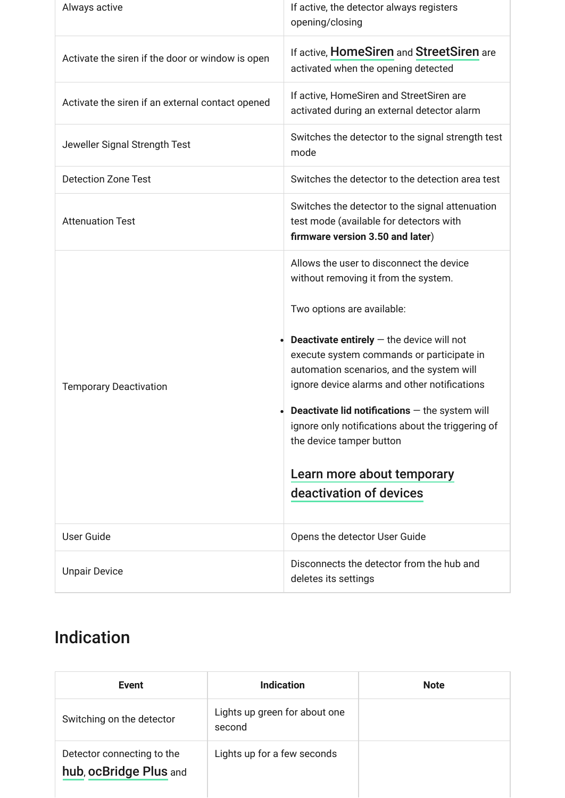| Always active                                    | If active, the detector always registers<br>opening/closing                                                                                                                                                                                                                                                                                                                                                                                                                                                         |
|--------------------------------------------------|---------------------------------------------------------------------------------------------------------------------------------------------------------------------------------------------------------------------------------------------------------------------------------------------------------------------------------------------------------------------------------------------------------------------------------------------------------------------------------------------------------------------|
| Activate the siren if the door or window is open | If active, HomeSiren and StreetSiren are<br>activated when the opening detected                                                                                                                                                                                                                                                                                                                                                                                                                                     |
| Activate the siren if an external contact opened | If active, HomeSiren and StreetSiren are<br>activated during an external detector alarm                                                                                                                                                                                                                                                                                                                                                                                                                             |
| Jeweller Signal Strength Test                    | Switches the detector to the signal strength test<br>mode                                                                                                                                                                                                                                                                                                                                                                                                                                                           |
| <b>Detection Zone Test</b>                       | Switches the detector to the detection area test                                                                                                                                                                                                                                                                                                                                                                                                                                                                    |
| <b>Attenuation Test</b>                          | Switches the detector to the signal attenuation<br>test mode (available for detectors with<br>firmware version 3.50 and later)                                                                                                                                                                                                                                                                                                                                                                                      |
| <b>Temporary Deactivation</b>                    | Allows the user to disconnect the device<br>without removing it from the system.<br>Two options are available:<br><b>Deactivate entirely</b> $-$ the device will not<br>execute system commands or participate in<br>automation scenarios, and the system will<br>ignore device alarms and other notifications<br><b>Deactivate lid notifications</b> $-$ the system will<br>ignore only notifications about the triggering of<br>the device tamper button<br>Learn more about temporary<br>deactivation of devices |
| <b>User Guide</b>                                | Opens the detector User Guide                                                                                                                                                                                                                                                                                                                                                                                                                                                                                       |
| <b>Unpair Device</b>                             | Disconnects the detector from the hub and<br>deletes its settings                                                                                                                                                                                                                                                                                                                                                                                                                                                   |

# Indication

| Event                                                | Indication                              | <b>Note</b> |
|------------------------------------------------------|-----------------------------------------|-------------|
| Switching on the detector                            | Lights up green for about one<br>second |             |
| Detector connecting to the<br>hub, ocBridge Plus and | Lights up for a few seconds             |             |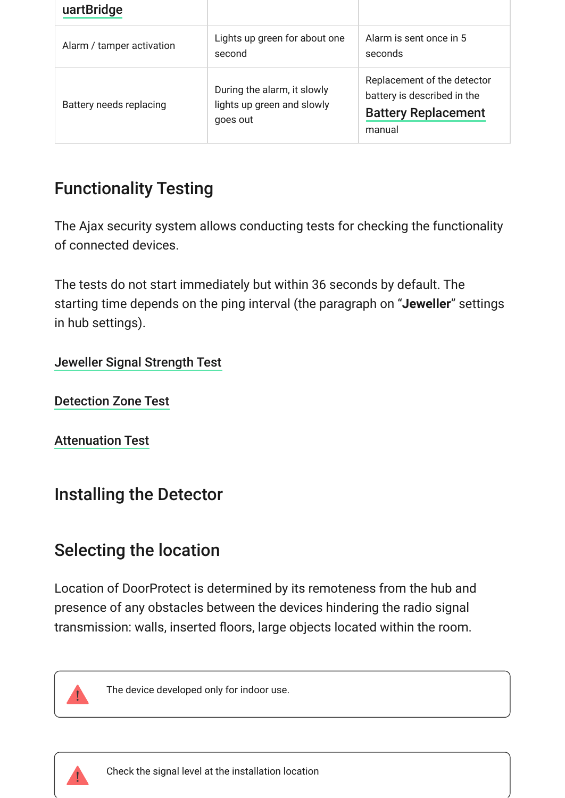| uartBridge                |                                                                       |                                                                                                    |
|---------------------------|-----------------------------------------------------------------------|----------------------------------------------------------------------------------------------------|
| Alarm / tamper activation | Lights up green for about one<br>second                               | Alarm is sent once in 5<br>seconds                                                                 |
| Battery needs replacing   | During the alarm, it slowly<br>lights up green and slowly<br>goes out | Replacement of the detector<br>battery is described in the<br><b>Battery Replacement</b><br>manual |

# Functionality Testing

The Ajax security system allows conducting tests for checking the functionality of connected devices.

The tests do not start immediately but within 36 seconds by default. The starting time depends on the ping interval (the paragraph on "**Jeweller**" settings in hub settings).

#### [Jeweller Signal Strength Test](https://support.ajax.systems/en/what-is-signal-strenght-test/)

[Detection Zone Test](https://support.ajax.systems/en/what-is-detection-zone-test/)

[Attenuation Test](https://support.ajax.systems/en/what-is-attenuation-test/)

### Installing the Detector

### Selecting the location

Location of DoorProtect is determined by its remoteness from the hub and presence of any obstacles between the devices hindering the radio signal transmission: walls, inserted floors, large objects located within the room.



The device developed only for indoor use.

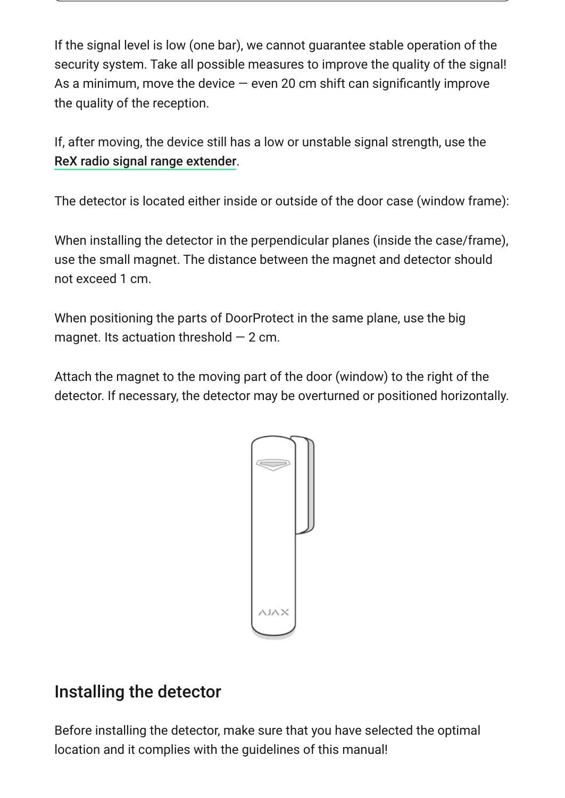If the signal level is low (one bar), we cannot guarantee stable operation of the security system. Take all possible measures to improve the quality of the signal! As a minimum, move the device  $-$  even 20 cm shift can significantly improve the quality of the reception.

If, after moving, the device still has a low or unstable signal strength, use the . [ReX radio signal range extender](https://ajax.systems/products/rex/)

The detector is located either inside or outside of the door case (window frame):

When installing the detector in the perpendicular planes (inside the case/frame), use the small magnet. The distance between the magnet and detector should not exceed 1 cm.

When positioning the parts of DoorProtect in the same plane, use the big magnet. Its actuation threshold  $-2$  cm.

Attach the magnet to the moving part of the door (window) to the right of the detector. If necessary, the detector may be overturned or positioned horizontally.



### Installing the detector

Before installing the detector, make sure that you have selected the optimal location and it complies with the guidelines of this manual!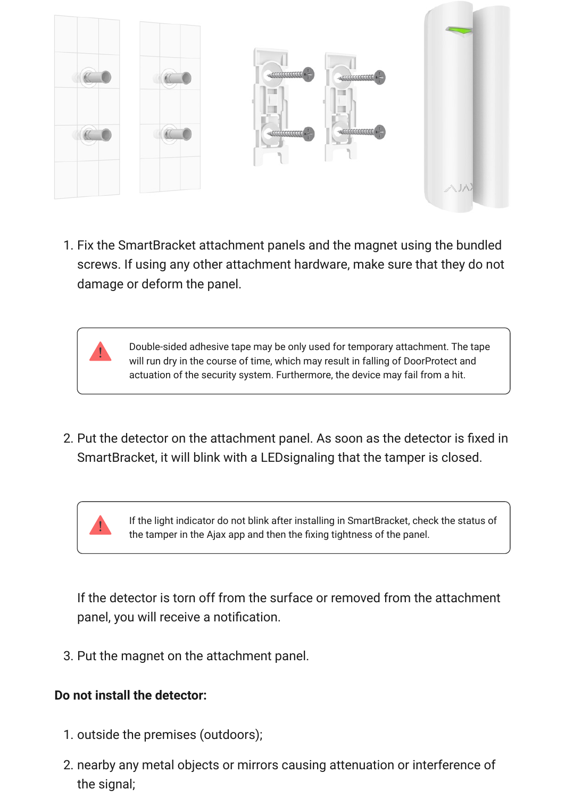

1. Fix the SmartBracket attachment panels and the magnet using the bundled screws. If using any other attachment hardware, make sure that they do not damage or deform the panel.

> Double-sided adhesive tape may be only used for temporary attachment. The tape will run dry in the course of time, which may result in falling of DoorProtect and actuation of the security system. Furthermore, the device may fail from a hit.

2. Put the detector on the attachment panel. As soon as the detector is fixed in SmartBracket, it will blink with a LEDsignaling that the tamper is closed.



If the light indicator do not blink after installing in SmartBracket, check the status of the tamper in the Ajax app and then the fixing tightness of the panel.

If the detector is torn off from the surface or removed from the attachment panel, you will receive a notification.

3. Put the magnet on the attachment panel.

#### **Do not install the detector:**

- 1. outside the premises (outdoors);
- 2. nearby any metal objects or mirrors causing attenuation or interference of the signal;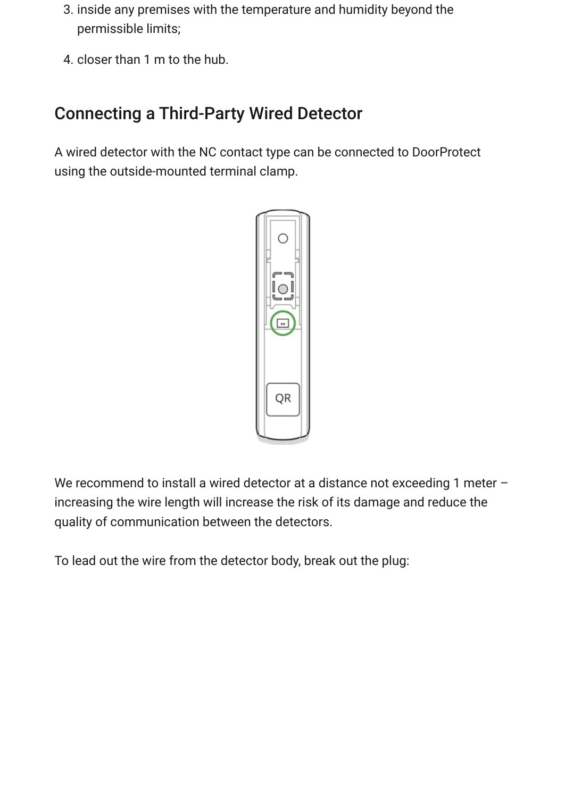- 3. inside any premises with the temperature and humidity beyond the permissible limits;
- 4. closer than 1 m to the hub.

# Connecting a Third-Party Wired Detector

A wired detector with the NC contact type can be connected to DoorProtect using the outside-mounted terminal clamp.



We recommend to install a wired detector at a distance not exceeding 1 meter – increasing the wire length will increase the risk of its damage and reduce the quality of communication between the detectors.

To lead out the wire from the detector body, break out the plug: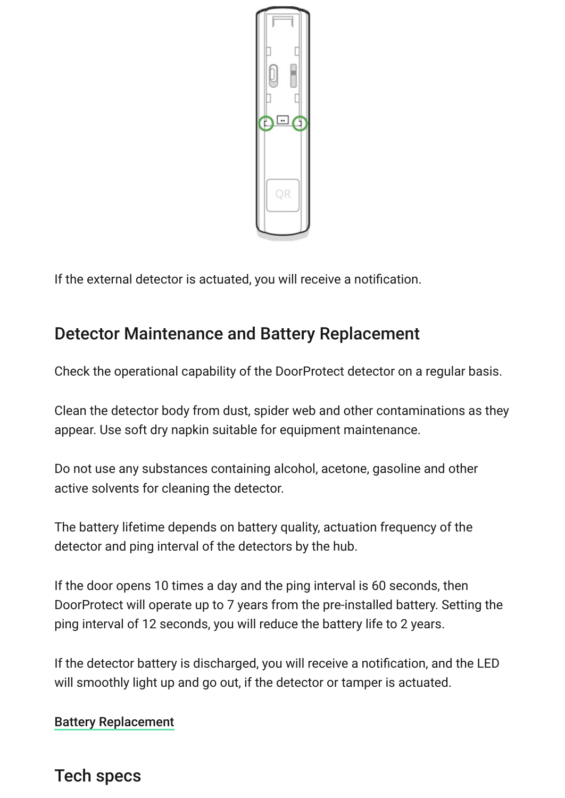

If the external detector is actuated, you will receive a notification.

#### Detector Maintenance and Battery Replacement

Check the operational capability of the DoorProtect detector on a regular basis.

Clean the detector body from dust, spider web and other contaminations as they appear. Use soft dry napkin suitable for equipment maintenance.

Do not use any substances containing alcohol, acetone, gasoline and other active solvents for cleaning the detector.

The battery lifetime depends on battery quality, actuation frequency of the detector and ping interval of the detectors by the hub.

If the door opens 10 times a day and the ping interval is 60 seconds, then DoorProtect will operate up to 7 years from the pre-installed battery. Setting the ping interval of 12 seconds, you will reduce the battery life to 2 years.

If the detector battery is discharged, you will receive a notification, and the LED will smoothly light up and go out, if the detector or tamper is actuated.

#### [Battery Replacement](https://support.ajax.systems/en/how-to-replace-batteries-in-doorprotect/)

#### Tech specs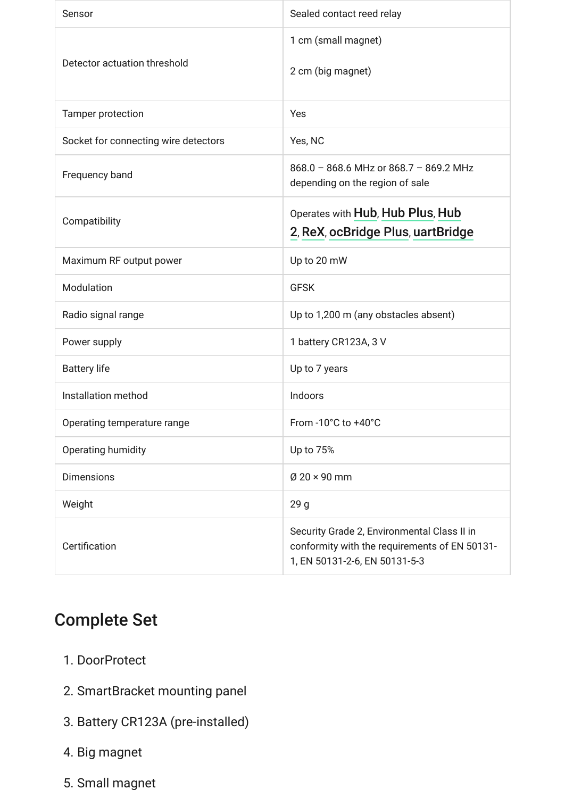| Sensor                               | Sealed contact reed relay                                                                                                     |
|--------------------------------------|-------------------------------------------------------------------------------------------------------------------------------|
| Detector actuation threshold         | 1 cm (small magnet)<br>2 cm (big magnet)                                                                                      |
| Tamper protection                    | Yes                                                                                                                           |
| Socket for connecting wire detectors | Yes, NC                                                                                                                       |
| Frequency band                       | 868.0 - 868.6 MHz or 868.7 - 869.2 MHz<br>depending on the region of sale                                                     |
| Compatibility                        | Operates with Hub, Hub Plus, Hub<br>2, ReX, ocBridge Plus, uartBridge                                                         |
| Maximum RF output power              | Up to 20 mW                                                                                                                   |
| Modulation                           | <b>GFSK</b>                                                                                                                   |
| Radio signal range                   | Up to 1,200 m (any obstacles absent)                                                                                          |
| Power supply                         | 1 battery CR123A, 3 V                                                                                                         |
| <b>Battery life</b>                  | Up to 7 years                                                                                                                 |
| Installation method                  | Indoors                                                                                                                       |
| Operating temperature range          | From -10°C to +40°C                                                                                                           |
| Operating humidity                   | Up to 75%                                                                                                                     |
| <b>Dimensions</b>                    | $\varnothing$ 20 × 90 mm                                                                                                      |
| Weight                               | 29 <sub>g</sub>                                                                                                               |
| Certification                        | Security Grade 2, Environmental Class II in<br>conformity with the requirements of EN 50131-<br>1, EN 50131-2-6, EN 50131-5-3 |

### Complete Set

- 1. DoorProtect
- 2. SmartBracket mounting panel
- 3. Battery CR123A (pre-installed)
- 4. Big magnet
- 5. Small magnet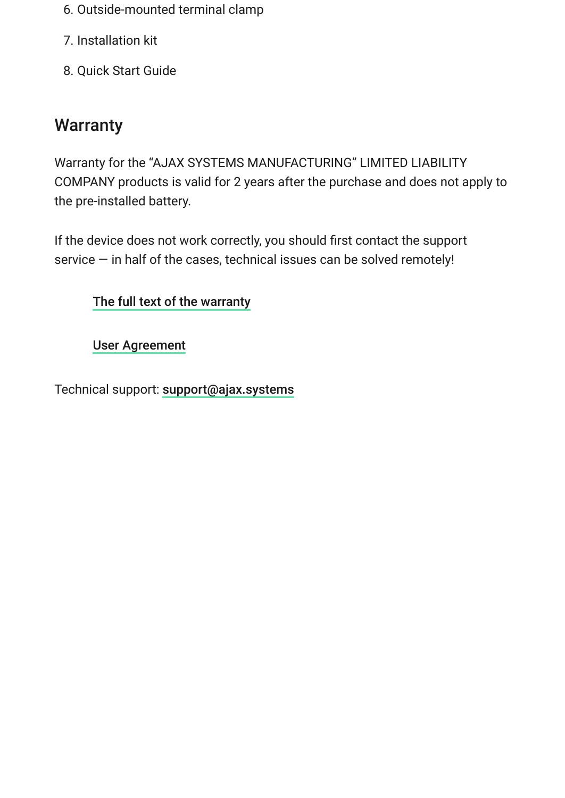- 6. Outside-mounted terminal clamp
- 7. Installation kit
- 8. Quick Start Guide

# **Warranty**

Warranty for the "AJAX SYSTEMS MANUFACTURING" LIMITED LIABILITY COMPANY products is valid for 2 years after the purchase and does not apply to the pre-installed battery.

If the device does not work correctly, you should first contact the support service — in half of the cases, technical issues can be solved remotely!

[The full text of the warranty](https://ajax.systems/warranty)

[User Agreement](https://ajax.systems/end-user-agreement)

Technical support: [support@ajax.systems](mailto:support@ajax.systems)